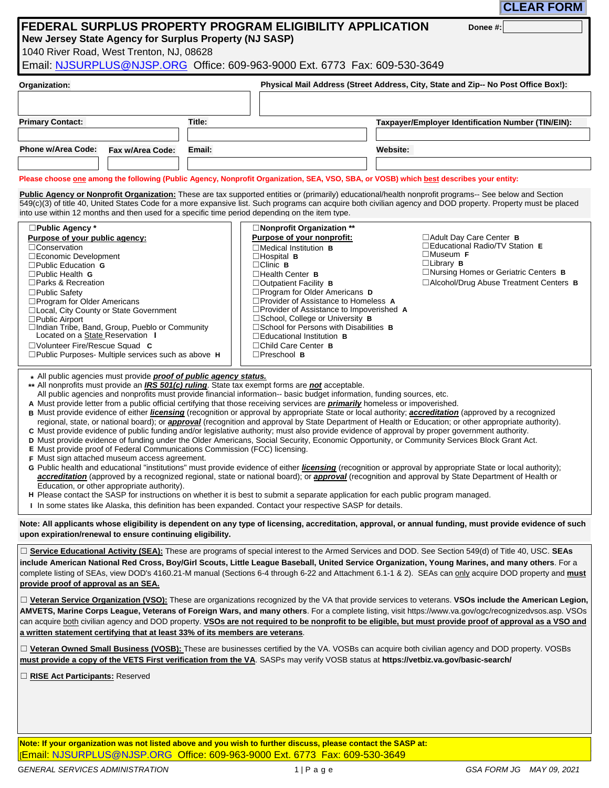**CLEAR FORM**

**Donee #:**

# ` 333 **FEDERAL SURPLUS PROPERTY PROGRAM ELIGIBILITY APPLICATION New Jersey State Agency for Surplus Property (NJ SASP)**

1040 River Road, West Trenton, NJ, 08628

**````** Email: NJSURPLUS@NJSP.ORG Office: 609-963-9000 Ext. 6773 Fax: 609-530-3649

|        | Physical Mail Address (Street Address, City, State and Zip-- No Post Office Box!): |
|--------|------------------------------------------------------------------------------------|
|        |                                                                                    |
| Title: | Taxpayer/Employer Identification Number (TIN/EIN):                                 |
|        |                                                                                    |
| Email: | <b>Website:</b>                                                                    |
|        |                                                                                    |
|        |                                                                                    |

 **Please choose one among the following (Public Agency, Nonprofit Organization, SEA, VSO, SBA, or VOSB) which best describes your entity:**

Public Agency or Nonprofit Organization: These are tax supported entities or (primarily) educational/health nonprofit programs-- See below and Section  into use within 12 months and then used for a specific time period depending on the item type. 549(c)(3) of title 40, United States Code for a more expansive list. Such programs can acquire both civilian agency and DOD property. Property must be placed

| $\square$ Public Agency *                                      | $\square$ Nonprofit Organization **                  |                                                    |
|----------------------------------------------------------------|------------------------------------------------------|----------------------------------------------------|
| Purpose of your public agency:                                 | Purpose of your nonprofit:                           | $\Box$ Adult Day Care Center <b>B</b>              |
| $\Box$ Conservation                                            | $\Box$ Medical Institution <b>B</b>                  | <b>Neducational Radio/TV Station E</b>             |
| $\square$ Economic Development                                 | $\Box$ Hospital B                                    | $\square$ Museum F                                 |
| $\Box$ Public Education <b>G</b>                               | $\Box$ Clinic <b>B</b>                               | $\Box$ Library <b>B</b>                            |
| $\Box$ Public Health <b>G</b>                                  | $\Box$ Health Center <b>B</b>                        | $\Box$ Nursing Homes or Geriatric Centers <b>B</b> |
| $\Box$ Parks & Recreation                                      | $\Box$ Outpatient Facility <b>B</b>                  | □ Alcohol/Drug Abuse Treatment Centers B           |
| $\square$ Public Safety                                        | $\Box$ Program for Older Americans D                 |                                                    |
| $\Box$ Program for Older Americans                             | $\Box$ Provider of Assistance to Homeless $\land$    |                                                    |
| □Local, City County or State Government                        | $\Box$ Provider of Assistance to Impoverished A      |                                                    |
| $\Box$ Public Airport                                          | □School, College or University B                     |                                                    |
| □Indian Tribe, Band, Group, Pueblo or Community                | $\Box$ School for Persons with Disabilities <b>B</b> |                                                    |
| Located on a State Reservation                                 | $\Box$ Educational Institution <b>B</b>              |                                                    |
| $\Box$ Volunteer Fire/Rescue Squad C                           | $\Box$ Child Care Center $B$                         |                                                    |
| $\square$ Public Purposes- Multiple services such as above $H$ | $\Box$ Preschool B                                   |                                                    |

All public agencies must provide *proof of public agency status.* **\***

All nonprofits must provide an *IRS 501(c) ruling*. State tax exempt forms are *not* acceptable. **\*\***

All public agencies and nonprofits must provide financial information-- basic budget information, funding sources, etc.

Must provide letter from a public official certifying that those receiving services are *primarily* homeless or impoverished. **A**

- Must provide evidence of either *licensing* (recognition or approval by appropriate State or local authority; *accreditation* (approved by a recognized **B** regional, state, or national board); or *approval* (recognition and approval by State Department of Health or Education; or other appropriate authority).
- Must provide evidence of public funding and/or legislative authority; must also provide evidence of approval by proper government authority. **C**
- Must provide evidence of funding under the Older Americans, Social Security, Economic Opportunity, or Community Services Block Grant Act. **D**
- Must provide proof of Federal Communications Commission (FCC) licensing. **E**
- Must sign attached museum access agreement. **F**
- G Public health and educational "institutions" must provide evidence of either *licensing* (recognition or approval by appropriate State or local authority); *accreditation* (approved by a recognized regional, state or national board); or *approval* (recognition and approval by State Department of Health or Education, or other appropriate authority).
- Please contact the SASP for instructions on whether it is best to submit a separate application for each public program managed. **H**

In some states like Alaska, this definition has been expanded. Contact your respective SASP for details. **I**

**Note: All applicants whose eligibility is dependent on any type of licensing, accreditation, approval, or annual funding, must provide evidence of such upon expiration/renewal to ensure continuing eligibility.**

□ **Service Educational Activity (SEA):** These are programs of special interest to the Armed Services and DOD. See Section 549(d) of Title 40, USC. SEAs **include American National Red Cross, Boy/Girl Scouts, Little League Baseball, United Service Organization, Young Marines, and many others**. For a complete listing of SEAs, view DOD's 4160.21-M manual (Sections 6-4 through 6-22 and Attachment 6.1-1 & 2). SEAs can only acquire DOD property and **must provide proof of approval as an SEA.**

□ **Veteran Service Organization (VSO)**: These are organizations recognized by the VA that provide services to veterans. **VSOs include the American Legion**, **AMVETS, Marine Corps League, Veterans of Foreign Wars, and many others**. For a complete listing, visit https://www.va.gov/ogc/recognizedvsos.asp. VSOs can acquire both civilian agency and DOD property. **VSOs are not required to be nonprofit to be eligible, but must provide proof of approval as a VSO and a written statement certifying that at least 33% of its members are veterans**.

☐ **Veteran Owned Small Business (VOSB):** These are businesses certified by the VA. VOSBs can acquire both civilian agency and DOD property. VOSBs **must provide a copy of the VETS First verification from the VA**. SASPs may verify VOSB status at **https://vetbiz.va.gov/basic-search/**

□ **RISE Act Participants:** Reserved

**Note: If your organization was not listed above and you wish to further discuss, please contact the SASP at:** [Email: NJSURPLUS@NJSP.ORG Office: 609-963-9000 Ext. 6773 Fax: 609-530-3649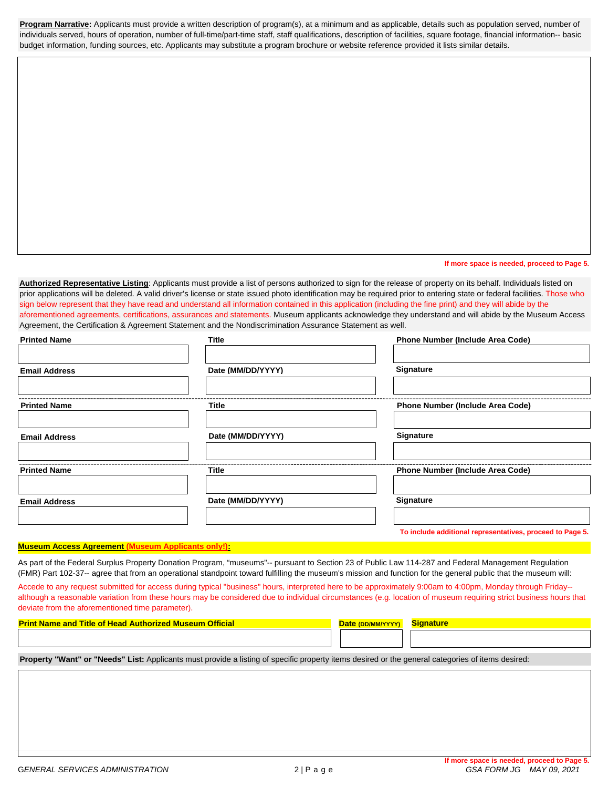**Program Narrative:** Applicants must provide a written description of program(s), at a minimum and as applicable, details such as population served, number of individuals served, hours of operation, number of full-time/part-time staff, staff qualifications, description of facilities, square footage, financial information-- basic budget information, funding sources, etc. Applicants may substitute a program brochure or website reference provided it lists similar details.

**If more space is needed, proceed to Page 5.**

**Authorized Representative Listing**: Applicants must provide a list of persons authorized to sign for the release of property on its behalf. Individuals listed on prior applications will be deleted. A valid driver's license or state issued photo identification may be required prior to entering state or federal facilities. Those who sign below represent that they have read and understand all information contained in this application (including the fine print) and they will abide by the aforementioned agreements, certifications, assurances and statements. Museum applicants acknowledge they understand and will abide by the Museum Access Agreement, the Certification & Agreement Statement and the Nondiscrimination Assurance Statement as well.

| <b>Printed Name</b>  | <b>Title</b>      | <b>Phone Number (Include Area Code)</b>                   |
|----------------------|-------------------|-----------------------------------------------------------|
| <b>Email Address</b> | Date (MM/DD/YYYY) | <b>Signature</b>                                          |
| <b>Printed Name</b>  | Title             | <b>Phone Number (Include Area Code)</b>                   |
| <b>Email Address</b> | Date (MM/DD/YYYY) | Signature                                                 |
| <b>Printed Name</b>  | <b>Title</b>      | <b>Phone Number (Include Area Code)</b>                   |
| <b>Email Address</b> | Date (MM/DD/YYYY) | Signature                                                 |
|                      |                   | To include additional representatives, proceed to Page 5. |

# **Museum Access Agreement (Museum Applicants only!):**

As part of the Federal Surplus Property Donation Program, "museums"-- pursuant to Section 23 of Public Law 114-287 and Federal Management Regulation (FMR) Part 102-37-- agree that from an operational standpoint toward fulfilling the museum's mission and function for the general public that the museum will:

Accede to any request submitted for access during typical "business" hours, interpreted here to be approximately 9:00am to 4:00pm, Monday through Friday- although a reasonable variation from these hours may be considered due to individual circumstances (e.g. location of museum requiring strict business hours that deviate from the aforementioned time parameter).

| <b>Print Name and Title of Head Authorized Museum Official</b> | Date (DD/MM/Y) | <b>Signature</b> |
|----------------------------------------------------------------|----------------|------------------|
|                                                                |                |                  |

**Property "Want" or "Needs" List:** Applicants must provide a listing of specific property items desired or the general categories of items desired: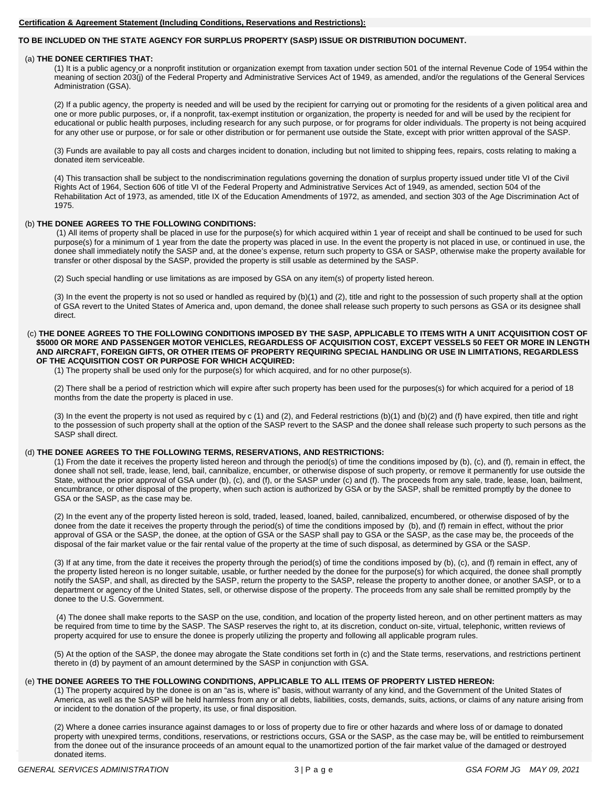#### **Certification & Agreement Statement (Including Conditions, Reservations and Restrictions):**

### **TO BE INCLUDED ON THE STATE AGENCY FOR SURPLUS PROPERTY (SASP) ISSUE OR DISTRIBUTION DOCUMENT.**

#### (a) **THE DONEE CERTIFIES THAT:**

(1) It is a public agency or a nonprofit institution or organization exempt from taxation under section 501 of the internal Revenue Code of 1954 within the meaning of section 203(j) of the Federal Property and Administrative Services Act of 1949, as amended, and/or the regulations of the General Services Administration (GSA).

(2) If a public agency, the property is needed and will be used by the recipient for carrying out or promoting for the residents of a given political area and one or more public purposes, or, if a nonprofit, tax-exempt institution or organization, the property is needed for and will be used by the recipient for educational or public health purposes, including research for any such purpose, or for programs for older individuals. The property is not being acquired for any other use or purpose, or for sale or other distribution or for permanent use outside the State, except with prior written approval of the SASP.

(3) Funds are available to pay all costs and charges incident to donation, including but not limited to shipping fees, repairs, costs relating to making a donated item serviceable.

(4) This transaction shall be subject to the nondiscrimination regulations governing the donation of surplus property issued under title VI of the Civil Rights Act of 1964, Section 606 of title VI of the Federal Property and Administrative Services Act of 1949, as amended, section 504 of the Rehabilitation Act of 1973, as amended, title IX of the Education Amendments of 1972, as amended, and section 303 of the Age Discrimination Act of 1975.

#### (b) **THE DONEE AGREES TO THE FOLLOWING CONDITIONS:**

(1) All items of property shall be placed in use for the purpose(s) for which acquired within 1 year of receipt and shall be continued to be used for such purpose(s) for a minimum of 1 year from the date the property was placed in use. In the event the property is not placed in use, or continued in use, the donee shall immediately notify the SASP and, at the donee's expense, return such property to GSA or SASP, otherwise make the property available for transfer or other disposal by the SASP, provided the property is still usable as determined by the SASP.

(2) Such special handling or use limitations as are imposed by GSA on any item(s) of property listed hereon.

(3) In the event the property is not so used or handled as required by (b)(1) and (2), title and right to the possession of such property shall at the option of GSA revert to the United States of America and, upon demand, the donee shall release such property to such persons as GSA or its designee shall direct.

#### (c) **THE DONEE AGREES TO THE FOLLOWING CONDITIONS IMPOSED BY THE SASP, APPLICABLE TO ITEMS WITH A UNIT ACQUISITION COST OF \$5000 OR MORE AND PASSENGER MOTOR VEHICLES, REGARDLESS OF ACQUISITION COST, EXCEPT VESSELS 50 FEET OR MORE IN LENGTH AND AIRCRAFT, FOREIGN GIFTS, OR OTHER ITEMS OF PROPERTY REQUIRING SPECIAL HANDLING OR USE IN LIMITATIONS, REGARDLESS OF THE ACQUISITION COST OR PURPOSE FOR WHICH ACQUIRED:**

(1) The property shall be used only for the purpose(s) for which acquired, and for no other purpose(s).

(2) There shall be a period of restriction which will expire after such property has been used for the purposes(s) for which acquired for a period of 18 months from the date the property is placed in use.

(3) In the event the property is not used as required by c (1) and (2), and Federal restrictions (b)(1) and (b)(2) and (f) have expired, then title and right to the possession of such property shall at the option of the SASP revert to the SASP and the donee shall release such property to such persons as the SASP shall direct.

#### (d) **THE DONEE AGREES TO THE FOLLOWING TERMS, RESERVATIONS, AND RESTRICTIONS:**

(1) From the date it receives the property listed hereon and through the period(s) of time the conditions imposed by (b), (c), and (f), remain in effect, the donee shall not sell, trade, lease, lend, bail, cannibalize, encumber, or otherwise dispose of such property, or remove it permanently for use outside the State, without the prior approval of GSA under (b), (c), and (f), or the SASP under (c) and (f). The proceeds from any sale, trade, lease, loan, bailment, encumbrance, or other disposal of the property, when such action is authorized by GSA or by the SASP, shall be remitted promptly by the donee to GSA or the SASP, as the case may be.

(2) In the event any of the property listed hereon is sold, traded, leased, loaned, bailed, cannibalized, encumbered, or otherwise disposed of by the donee from the date it receives the property through the period(s) of time the conditions imposed by (b), and (f) remain in effect, without the prior approval of GSA or the SASP, the donee, at the option of GSA or the SASP shall pay to GSA or the SASP, as the case may be, the proceeds of the disposal of the fair market value or the fair rental value of the property at the time of such disposal, as determined by GSA or the SASP.

(3) If at any time, from the date it receives the property through the period(s) of time the conditions imposed by (b), (c), and (f) remain in effect, any of the property listed hereon is no longer suitable, usable, or further needed by the donee for the purpose(s) for which acquired, the donee shall promptly notify the SASP, and shall, as directed by the SASP, return the property to the SASP, release the property to another donee, or another SASP, or to a department or agency of the United States, sell, or otherwise dispose of the property. The proceeds from any sale shall be remitted promptly by the donee to the U.S. Government.

(4) The donee shall make reports to the SASP on the use, condition, and location of the property listed hereon, and on other pertinent matters as may be required from time to time by the SASP. The SASP reserves the right to, at its discretion, conduct on-site, virtual, telephonic, written reviews of property acquired for use to ensure the donee is properly utilizing the property and following all applicable program rules.

(5) At the option of the SASP, the donee may abrogate the State conditions set forth in (c) and the State terms, reservations, and restrictions pertinent thereto in (d) by payment of an amount determined by the SASP in conjunction with GSA.

# (e) **THE DONEE AGREES TO THE FOLLOWING CONDITIONS, APPLICABLE TO ALL ITEMS OF PROPERTY LISTED HEREON:**

(1) The property acquired by the donee is on an "as is, where is" basis, without warranty of any kind, and the Government of the United States of America, as well as the SASP will be held harmless from any or all debts, liabilities, costs, demands, suits, actions, or claims of any nature arising from or incident to the donation of the property, its use, or final disposition.

(2) Where a donee carries insurance against damages to or loss of property due to fire or other hazards and where loss of or damage to donated property with unexpired terms, conditions, reservations, or restrictions occurs, GSA or the SASP, as the case may be, will be entitled to reimbursement from the donee out of the insurance proceeds of an amount equal to the unamortized portion of the fair market value of the damaged or destroyed donated items.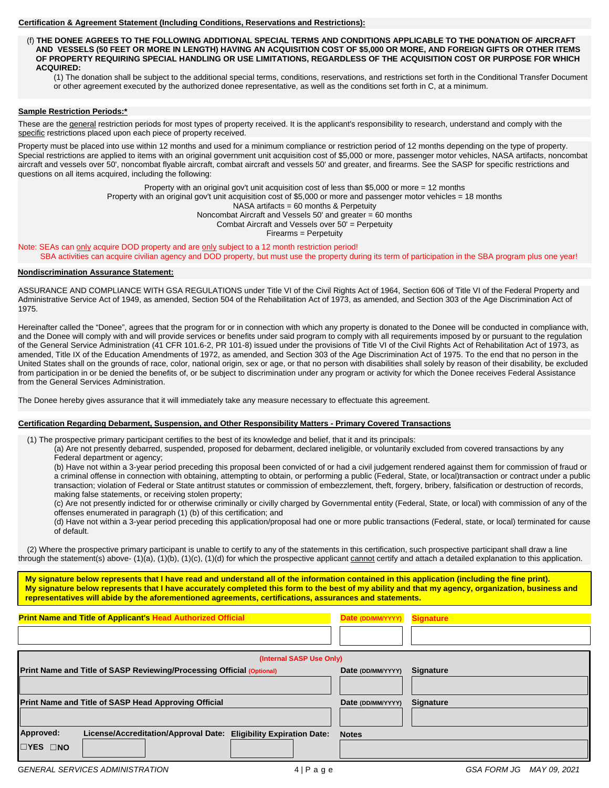#### **Certification & Agreement Statement (Including Conditions, Reservations and Restrictions):**

 (f) **THE DONEE AGREES TO THE FOLLOWING ADDITIONAL SPECIAL TERMS AND CONDITIONS APPLICABLE TO THE DONATION OF AIRCRAFT AND VESSELS (50 FEET OR MORE IN LENGTH) HAVING AN ACQUISITION COST OF \$5,000 OR MORE, AND FOREIGN GIFTS OR OTHER ITEMS OF PROPERTY REQUIRING SPECIAL HANDLING OR USE LIMITATIONS, REGARDLESS OF THE ACQUISITION COST OR PURPOSE FOR WHICH ACQUIRED:**

(1) The donation shall be subject to the additional special terms, conditions, reservations, and restrictions set forth in the Conditional Transfer Document or other agreement executed by the authorized donee representative, as well as the conditions set forth in C, at a minimum.

# **Sample Restriction Periods:\***

These are the general restriction periods for most types of property received. It is the applicant's responsibility to research, understand and comply with the specific restrictions placed upon each piece of property received.

 Property must be placed into use within 12 months and used for a minimum compliance or restriction period of 12 months depending on the type of property. Special restrictions are applied to items with an original government unit acquisition cost of \$5,000 or more, passenger motor vehicles, NASA artifacts, noncombat aircraft and vessels over 50', noncombat flyable aircraft, combat aircraft and vessels 50' and greater, and firearms. See the SASP for specific restrictions and questions on all items acquired, including the following:

> Property with an original gov't unit acquisition cost of less than \$5,000 or more = 12 months Property with an original gov't unit acquisition cost of \$5,000 or more and passenger motor vehicles = 18 months NASA artifacts = 60 months & Perpetuity Noncombat Aircraft and Vessels 50' and greater = 60 months Combat Aircraft and Vessels over  $50'$  = Perpetuity Firearms = Perpetuity

Note: SEAs can only acquire DOD property and are only subject to a 12 month restriction period! SBA activities can acquire civilian agency and DOD property, but must use the property during its term of participation in the SBA program plus one year!

#### **Nondiscrimination Assurance Statement:**

ASSURANCE AND COMPLIANCE WITH GSA REGULATIONS under Title VI of the Civil Rights Act of 1964, Section 606 of Title VI of the Federal Property and Administrative Service Act of 1949, as amended, Section 504 of the Rehabilitation Act of 1973, as amended, and Section 303 of the Age Discrimination Act of 1975.

Hereinafter called the "Donee", agrees that the program for or in connection with which any property is donated to the Donee will be conducted in compliance with, and the Donee will comply with and will provide services or benefits under said program to comply with all requirements imposed by or pursuant to the regulation of the General Service Administration (41 CFR 101.6-2, PR 101-8) issued under the provisions of Title VI of the Civil Rights Act of Rehabilitation Act of 1973, as amended, Title IX of the Education Amendments of 1972, as amended, and Section 303 of the Age Discrimination Act of 1975. To the end that no person in the United States shall on the grounds of race, color, national origin, sex or age, or that no person with disabilities shall solely by reason of their disability, be excluded from participation in or be denied the benefits of, or be subject to discrimination under any program or activity for which the Donee receives Federal Assistance from the General Services Administration.

The Donee hereby gives assurance that it will immediately take any measure necessary to effectuate this agreement.

#### **Certification Regarding Debarment, Suspension, and Other Responsibility Matters - Primary Covered Transactions**

(1) The prospective primary participant certifies to the best of its knowledge and belief, that it and its principals:

(a) Are not presently debarred, suspended, proposed for debarment, declared ineligible, or voluntarily excluded from covered transactions by any Federal department or agency;

(b) Have not within a 3-year period preceding this proposal been convicted of or had a civil judgement rendered against them for commission of fraud or a criminal offense in connection with obtaining, attempting to obtain, or performing a public (Federal, State, or local)transaction or contract under a public transaction; violation of Federal or State antitrust statutes or commission of embezzlement, theft, forgery, bribery, falsification or destruction of records, making false statements, or receiving stolen property;

(c) Are not presently indicted for or otherwise criminally or civilly charged by Governmental entity (Federal, State, or local) with commission of any of the offenses enumerated in paragraph (1) (b) of this certification; and

(d) Have not within a 3-year period preceding this application/proposal had one or more public transactions (Federal, state, or local) terminated for cause of default.

 (2) Where the prospective primary participant is unable to certify to any of the statements in this certification, such prospective participant shall draw a line through the statement(s) above- (1)(a), (1)(b), (1)(c), (1)(d) for which the prospective applicant cannot certify and attach a detailed explanation to this application.

**My signature below represents that I have read and understand all of the information contained in this application (including the fine print). My signature below represents that I have accurately completed this form to the best of my ability and that my agency, organization, business and representatives will abide by the aforementioned agreements, certifications, assurances and statements.** 

| <b>Print Name and Title of Applicant's Head Authorized Official</b>                                         | Date (DD/MM/YYYY) Signature |                  |  |  |
|-------------------------------------------------------------------------------------------------------------|-----------------------------|------------------|--|--|
| (Internal SASP Use Only)                                                                                    |                             |                  |  |  |
| Print Name and Title of SASP Reviewing/Processing Official (Optional)                                       | Date (DD/MM/YYYY)           | <b>Signature</b> |  |  |
| <b>Print Name and Title of SASP Head Approving Official</b>                                                 | Date (DD/MM/YYYY)           | <b>Signature</b> |  |  |
| Approved:<br>License/Accreditation/Approval Date:<br><b>Eligibility Expiration Date:</b><br><b>EYES ENO</b> | <b>Notes</b>                |                  |  |  |